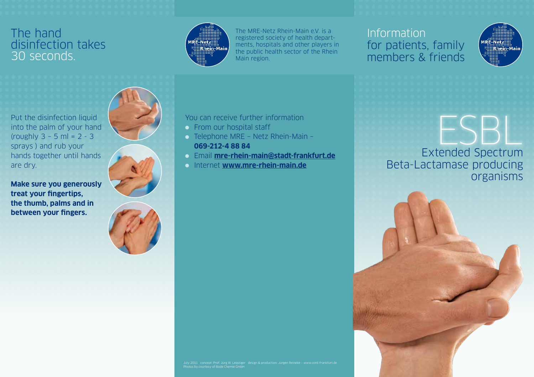#### The hand disinfection takes 30 seconds.



The MRE-Netz Rhein-Main e.V. is a registered society of health departments, hospitals and other players in the public health sector of the Rhein Main region.

#### Information for patients, family members & friends



Extended Spectrum Beta-Lactamase producing organisms ESBL<br>tended Spectrum

Put the disinfection liquid into the palm of your hand (roughly 3 – 5 ml = 2 - 3 sprays ) and rub your hands together until hands are dry. **Make sure you generously** 

**treat your fingertips, the thumb, palms and in between your fingers.**



#### You can receive further information

- **From our hospital staff**
- Telephone MRE Netz Rhein-Main **069-212-4 88 84**
- Email **mre-rhein-main@stadt-frankfurt.de**
- Internet **www.mre-rhein-main.de**

July 2011 concept: Prof. Jürg W. Leipziger design & production: Jürgen Reineke – www.cord-frankfurt.de Photos by courtesy of Bode Chemie GmbH